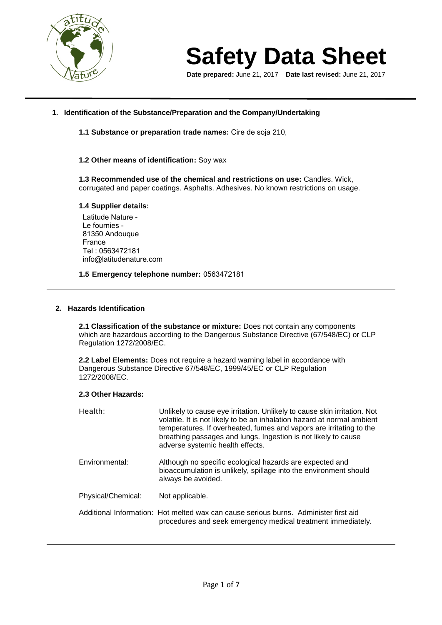

**Date prepared:** June 21, 2017 **Date last revised:** June 21, 2017

# **1. Identification of the Substance/Preparation and the Company/Undertaking**

**1.1 Substance or preparation trade names:** Cire de soja 210,

# **1.2 Other means of identification:** Soy wax

**1.3 Recommended use of the chemical and restrictions on use:** Candles. Wick, corrugated and paper coatings. Asphalts. Adhesives. No known restrictions on usage.

# **1.4 Supplier details:**

Latitude Nature - Le fournies - 81350 Andouque France Tel : 0563472181 info@latitudenature.com

**1.5 Emergency telephone number:** 0563472181

### **2. Hazards Identification**

**2.1 Classification of the substance or mixture:** Does not contain any components which are hazardous according to the Dangerous Substance Directive (67/548/EC) or CLP Regulation 1272/2008/EC.

**2.2 Label Elements:** Does not require a hazard warning label in accordance with Dangerous Substance Directive 67/548/EC, 1999/45/EC or CLP Regulation 1272/2008/EC.

### **2.3 Other Hazards:**

| Health:            | Unlikely to cause eye irritation. Unlikely to cause skin irritation. Not<br>volatile. It is not likely to be an inhalation hazard at normal ambient<br>temperatures. If overheated, fumes and vapors are irritating to the<br>breathing passages and lungs. Ingestion is not likely to cause<br>adverse systemic health effects. |
|--------------------|----------------------------------------------------------------------------------------------------------------------------------------------------------------------------------------------------------------------------------------------------------------------------------------------------------------------------------|
| Environmental:     | Although no specific ecological hazards are expected and<br>bioaccumulation is unlikely, spillage into the environment should<br>always be avoided.                                                                                                                                                                              |
| Physical/Chemical: | Not applicable.                                                                                                                                                                                                                                                                                                                  |
|                    | Additional Information: Hot melted wax can cause serious burns. Administer first aid<br>procedures and seek emergency medical treatment immediately.                                                                                                                                                                             |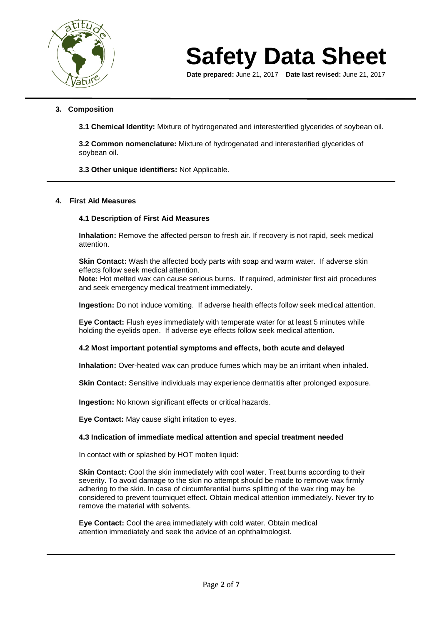

**Date prepared:** June 21, 2017 **Date last revised:** June 21, 2017

# **3. Composition**

**3.1 Chemical Identity:** Mixture of hydrogenated and interesterified glycerides of soybean oil.

**3.2 Common nomenclature:** Mixture of hydrogenated and interesterified glycerides of soybean oil.

**3.3 Other unique identifiers:** Not Applicable.

# **4. First Aid Measures**

# **4.1 Description of First Aid Measures**

**Inhalation:** Remove the affected person to fresh air. If recovery is not rapid, seek medical attention.

**Skin Contact:** Wash the affected body parts with soap and warm water. If adverse skin effects follow seek medical attention.

**Note:** Hot melted wax can cause serious burns. If required, administer first aid procedures and seek emergency medical treatment immediately.

**Ingestion:** Do not induce vomiting. If adverse health effects follow seek medical attention.

**Eye Contact:** Flush eyes immediately with temperate water for at least 5 minutes while holding the eyelids open. If adverse eye effects follow seek medical attention.

### **4.2 Most important potential symptoms and effects, both acute and delayed**

**Inhalation:** Over-heated wax can produce fumes which may be an irritant when inhaled.

**Skin Contact:** Sensitive individuals may experience dermatitis after prolonged exposure.

**Ingestion:** No known significant effects or critical hazards.

**Eye Contact:** May cause slight irritation to eyes.

### **4.3 Indication of immediate medical attention and special treatment needed**

In contact with or splashed by HOT molten liquid:

**Skin Contact:** Cool the skin immediately with cool water. Treat burns according to their severity. To avoid damage to the skin no attempt should be made to remove wax firmly adhering to the skin. In case of circumferential burns splitting of the wax ring may be considered to prevent tourniquet effect. Obtain medical attention immediately. Never try to remove the material with solvents.

**Eye Contact:** Cool the area immediately with cold water. Obtain medical attention immediately and seek the advice of an ophthalmologist.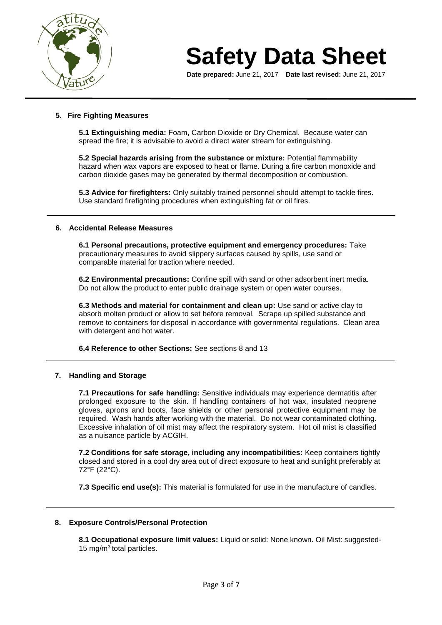

**Date prepared:** June 21, 2017 **Date last revised:** June 21, 2017

# **5. Fire Fighting Measures**

**5.1 Extinguishing media:** Foam, Carbon Dioxide or Dry Chemical. Because water can spread the fire; it is advisable to avoid a direct water stream for extinguishing.

**5.2 Special hazards arising from the substance or mixture:** Potential flammability hazard when wax vapors are exposed to heat or flame. During a fire carbon monoxide and carbon dioxide gases may be generated by thermal decomposition or combustion.

**5.3 Advice for firefighters:** Only suitably trained personnel should attempt to tackle fires. Use standard firefighting procedures when extinguishing fat or oil fires.

# **6. Accidental Release Measures**

**6.1 Personal precautions, protective equipment and emergency procedures:** Take precautionary measures to avoid slippery surfaces caused by spills, use sand or comparable material for traction where needed.

**6.2 Environmental precautions:** Confine spill with sand or other adsorbent inert media. Do not allow the product to enter public drainage system or open water courses.

**6.3 Methods and material for containment and clean up:** Use sand or active clay to absorb molten product or allow to set before removal. Scrape up spilled substance and remove to containers for disposal in accordance with governmental regulations. Clean area with detergent and hot water.

**6.4 Reference to other Sections:** See sections 8 and 13

### **7. Handling and Storage**

**7.1 Precautions for safe handling:** Sensitive individuals may experience dermatitis after prolonged exposure to the skin. If handling containers of hot wax, insulated neoprene gloves, aprons and boots, face shields or other personal protective equipment may be required. Wash hands after working with the material. Do not wear contaminated clothing. Excessive inhalation of oil mist may affect the respiratory system. Hot oil mist is classified as a nuisance particle by ACGIH.

**7.2 Conditions for safe storage, including any incompatibilities:** Keep containers tightly closed and stored in a cool dry area out of direct exposure to heat and sunlight preferably at 72°F (22°C).

**7.3 Specific end use(s):** This material is formulated for use in the manufacture of candles.

### **8. Exposure Controls/Personal Protection**

**8.1 Occupational exposure limit values:** Liquid or solid: None known. Oil Mist: suggested-15 mg/ $m^3$  total particles.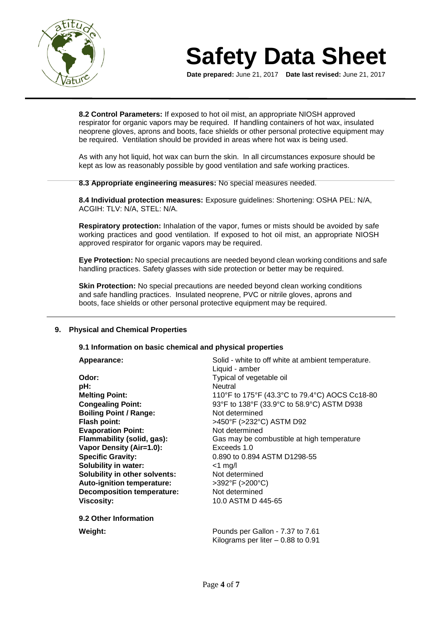

**Date prepared:** June 21, 2017 **Date last revised:** June 21, 2017

**8.2 Control Parameters:** If exposed to hot oil mist, an appropriate NIOSH approved respirator for organic vapors may be required. If handling containers of hot wax, insulated neoprene gloves, aprons and boots, face shields or other personal protective equipment may be required. Ventilation should be provided in areas where hot wax is being used.

As with any hot liquid, hot wax can burn the skin. In all circumstances exposure should be kept as low as reasonably possible by good ventilation and safe working practices.

**8.3 Appropriate engineering measures:** No special measures needed.

**8.4 Individual protection measures:** Exposure guidelines: Shortening: OSHA PEL: N/A, ACGIH: TLV: N/A, STEL: N/A.

**Respiratory protection:** Inhalation of the vapor, fumes or mists should be avoided by safe working practices and good ventilation. If exposed to hot oil mist, an appropriate NIOSH approved respirator for organic vapors may be required.

**Eye Protection:** No special precautions are needed beyond clean working conditions and safe handling practices. Safety glasses with side protection or better may be required.

**Skin Protection:** No special precautions are needed beyond clean working conditions and safe handling practices. Insulated neoprene, PVC or nitrile gloves, aprons and boots, face shields or other personal protective equipment may be required.

# **9. Physical and Chemical Properties**

### **9.1 Information on basic chemical and physical properties**

| Appearance:                          | Solid - white to off white at ambient temperature. |
|--------------------------------------|----------------------------------------------------|
|                                      | Liquid - amber                                     |
| Odor:                                | Typical of vegetable oil                           |
| pH:                                  | Neutral                                            |
| <b>Melting Point:</b>                | 110°F to 175°F (43.3°C to 79.4°C) AOCS Cc18-80     |
| <b>Congealing Point:</b>             | 93°F to 138°F (33.9°C to 58.9°C) ASTM D938         |
| <b>Boiling Point / Range:</b>        | Not determined                                     |
| Flash point:                         | >450°F (>232°C) ASTM D92                           |
| <b>Evaporation Point:</b>            | Not determined                                     |
| Flammability (solid, gas):           | Gas may be combustible at high temperature         |
| Vapor Density (Air=1.0):             | Exceeds 1.0                                        |
| <b>Specific Gravity:</b>             | 0.890 to 0.894 ASTM D1298-55                       |
| <b>Solubility in water:</b>          | $<$ 1 mg/l                                         |
| <b>Solubility in other solvents:</b> | Not determined                                     |
| <b>Auto-ignition temperature:</b>    | $>392^{\circ}F$ ( $>200^{\circ}C$ )                |
| <b>Decomposition temperature:</b>    | Not determined                                     |
| <b>Viscosity:</b>                    | 10.0 ASTM D 445-65                                 |
| 9.2 Other Information                |                                                    |
| Weight:                              | Pounds per Gallon - 7.37 to 7.61                   |
|                                      | Kilograms per liter $-0.88$ to 0.91                |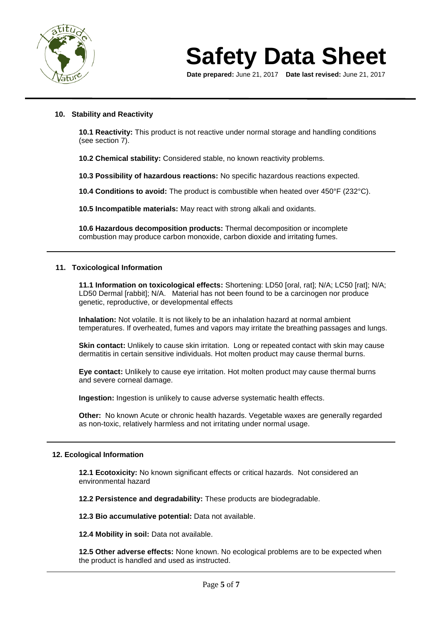

**Date prepared:** June 21, 2017 **Date last revised:** June 21, 2017

# **10. Stability and Reactivity**

**10.1 Reactivity:** This product is not reactive under normal storage and handling conditions (see section 7).

**10.2 Chemical stability:** Considered stable, no known reactivity problems.

**10.3 Possibility of hazardous reactions:** No specific hazardous reactions expected.

**10.4 Conditions to avoid:** The product is combustible when heated over 450°F (232°C).

**10.5 Incompatible materials:** May react with strong alkali and oxidants.

**10.6 Hazardous decomposition products:** Thermal decomposition or incomplete combustion may produce carbon monoxide, carbon dioxide and irritating fumes.

### **11. Toxicological Information**

**11.1 Information on toxicological effects:** Shortening: LD50 [oral, rat]; N/A; LC50 [rat]; N/A; LD50 Dermal [rabbit]; N/A. Material has not been found to be a carcinogen nor produce genetic, reproductive, or developmental effects

**Inhalation:** Not volatile. It is not likely to be an inhalation hazard at normal ambient temperatures. If overheated, fumes and vapors may irritate the breathing passages and lungs.

**Skin contact:** Unlikely to cause skin irritation. Long or repeated contact with skin may cause dermatitis in certain sensitive individuals. Hot molten product may cause thermal burns.

**Eye contact:** Unlikely to cause eye irritation. Hot molten product may cause thermal burns and severe corneal damage.

**Ingestion:** Ingestion is unlikely to cause adverse systematic health effects.

**Other:** No known Acute or chronic health hazards. Vegetable waxes are generally regarded as non-toxic, relatively harmless and not irritating under normal usage.

### **12. Ecological Information**

**12.1 Ecotoxicity:** No known significant effects or critical hazards. Not considered an environmental hazard

**12.2 Persistence and degradability:** These products are biodegradable.

**12.3 Bio accumulative potential:** Data not available.

**12.4 Mobility in soil:** Data not available.

**12.5 Other adverse effects:** None known. No ecological problems are to be expected when the product is handled and used as instructed.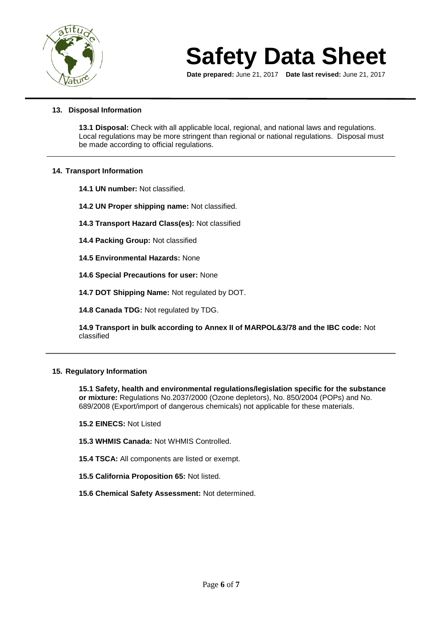

**Date prepared:** June 21, 2017 **Date last revised:** June 21, 2017

# **13. Disposal Information**

**13.1 Disposal:** Check with all applicable local, regional, and national laws and regulations. Local regulations may be more stringent than regional or national regulations. Disposal must be made according to official regulations.

# **14. Transport Information**

**14.1 UN number:** Not classified.

- **14.2 UN Proper shipping name:** Not classified.
- **14.3 Transport Hazard Class(es):** Not classified
- **14.4 Packing Group:** Not classified
- **14.5 Environmental Hazards:** None
- **14.6 Special Precautions for user:** None
- **14.7 DOT Shipping Name:** Not regulated by DOT.

**14.8 Canada TDG:** Not regulated by TDG.

**14.9 Transport in bulk according to Annex II of MARPOL&3/78 and the IBC code:** Not classified

# **15. Regulatory Information**

**15.1 Safety, health and environmental regulations/legislation specific for the substance or mixture:** Regulations No.2037/2000 (Ozone depletors), No. 850/2004 (POPs) and No. 689/2008 (Export/import of dangerous chemicals) not applicable for these materials.

- **15.2 EINECS:** Not Listed
- **15.3 WHMIS Canada:** Not WHMIS Controlled.
- **15.4 TSCA:** All components are listed or exempt.
- **15.5 California Proposition 65:** Not listed.
- **15.6 Chemical Safety Assessment:** Not determined.